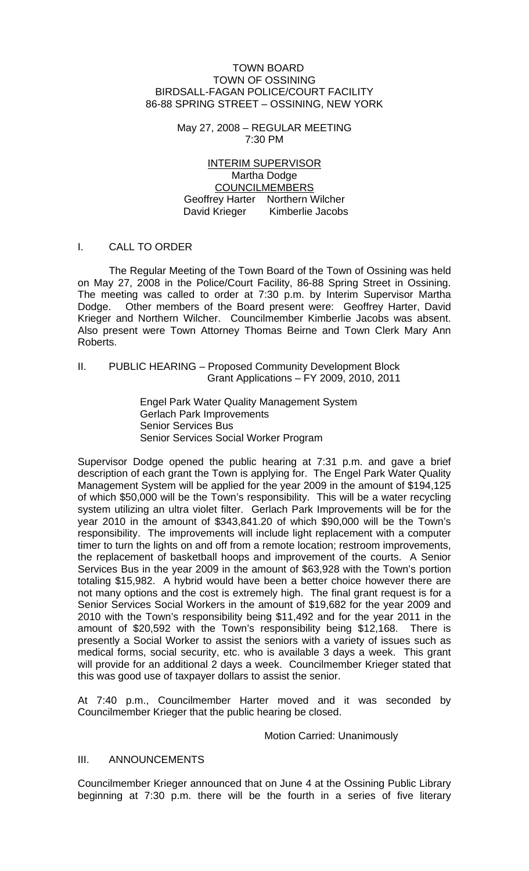#### TOWN BOARD TOWN OF OSSINING BIRDSALL-FAGAN POLICE/COURT FACILITY 86-88 SPRING STREET – OSSINING, NEW YORK

May 27, 2008 – REGULAR MEETING 7:30 PM

INTERIM SUPERVISOR Martha Dodge COUNCILMEMBERS Geoffrey Harter Northern Wilcher David Krieger Kimberlie Jacobs

#### I. CALL TO ORDER

 The Regular Meeting of the Town Board of the Town of Ossining was held on May 27, 2008 in the Police/Court Facility, 86-88 Spring Street in Ossining. The meeting was called to order at 7:30 p.m. by Interim Supervisor Martha Dodge. Other members of the Board present were: Geoffrey Harter, David Krieger and Northern Wilcher. Councilmember Kimberlie Jacobs was absent. Also present were Town Attorney Thomas Beirne and Town Clerk Mary Ann Roberts.

#### II. PUBLIC HEARING – Proposed Community Development Block Grant Applications – FY 2009, 2010, 2011

Engel Park Water Quality Management System Gerlach Park Improvements Senior Services Bus Senior Services Social Worker Program

Supervisor Dodge opened the public hearing at 7:31 p.m. and gave a brief description of each grant the Town is applying for. The Engel Park Water Quality Management System will be applied for the year 2009 in the amount of \$194,125 of which \$50,000 will be the Town's responsibility. This will be a water recycling system utilizing an ultra violet filter. Gerlach Park Improvements will be for the year 2010 in the amount of \$343,841.20 of which \$90,000 will be the Town's responsibility. The improvements will include light replacement with a computer timer to turn the lights on and off from a remote location; restroom improvements, the replacement of basketball hoops and improvement of the courts. A Senior Services Bus in the year 2009 in the amount of \$63,928 with the Town's portion totaling \$15,982. A hybrid would have been a better choice however there are not many options and the cost is extremely high. The final grant request is for a Senior Services Social Workers in the amount of \$19,682 for the year 2009 and 2010 with the Town's responsibility being \$11,492 and for the year 2011 in the amount of \$20,592 with the Town's responsibility being \$12,168. There is presently a Social Worker to assist the seniors with a variety of issues such as medical forms, social security, etc. who is available 3 days a week. This grant will provide for an additional 2 days a week. Councilmember Krieger stated that this was good use of taxpayer dollars to assist the senior.

At 7:40 p.m., Councilmember Harter moved and it was seconded by Councilmember Krieger that the public hearing be closed.

#### Motion Carried: Unanimously

#### III. ANNOUNCEMENTS

Councilmember Krieger announced that on June 4 at the Ossining Public Library beginning at 7:30 p.m. there will be the fourth in a series of five literary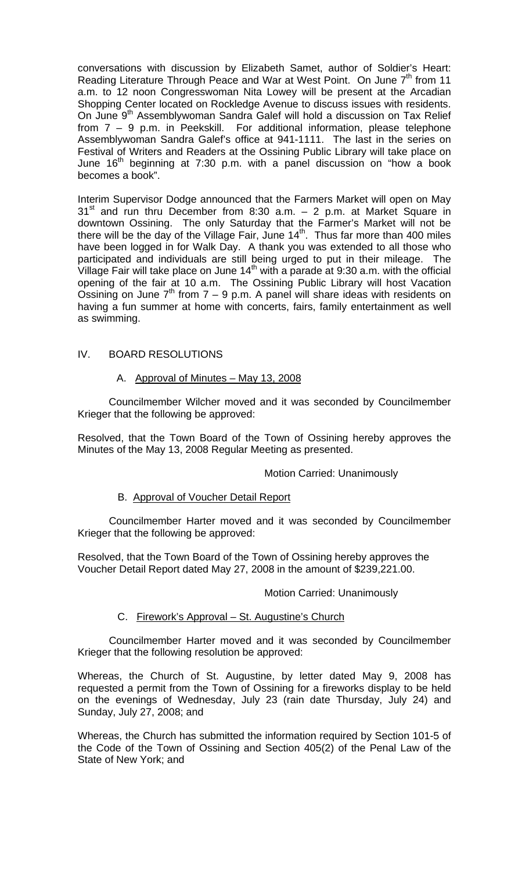conversations with discussion by Elizabeth Samet, author of Soldier's Heart: Reading Literature Through Peace and War at West Point. On June  $7<sup>th</sup>$  from 11 a.m. to 12 noon Congresswoman Nita Lowey will be present at the Arcadian Shopping Center located on Rockledge Avenue to discuss issues with residents. On June 9<sup>th</sup> Assemblywoman Sandra Galef will hold a discussion on Tax Relief from 7 – 9 p.m. in Peekskill. For additional information, please telephone Assemblywoman Sandra Galef's office at 941-1111. The last in the series on Festival of Writers and Readers at the Ossining Public Library will take place on June 16<sup>th</sup> beginning at 7:30 p.m. with a panel discussion on "how a book becomes a book".

Interim Supervisor Dodge announced that the Farmers Market will open on May  $31<sup>st</sup>$  and run thru December from 8:30 a.m.  $-$  2 p.m. at Market Square in downtown Ossining. The only Saturday that the Farmer's Market will not be there will be the day of the Village Fair, June  $14<sup>th</sup>$ . Thus far more than 400 miles have been logged in for Walk Day. A thank you was extended to all those who participated and individuals are still being urged to put in their mileage. The Village Fair will take place on June  $14<sup>th</sup>$  with a parade at 9:30 a.m. with the official opening of the fair at 10 a.m. The Ossining Public Library will host Vacation Ossining on June  $7<sup>th</sup>$  from  $7 - 9$  p.m. A panel will share ideas with residents on having a fun summer at home with concerts, fairs, family entertainment as well as swimming.

## IV. BOARD RESOLUTIONS

#### A. Approval of Minutes – May 13, 2008

Councilmember Wilcher moved and it was seconded by Councilmember Krieger that the following be approved:

Resolved, that the Town Board of the Town of Ossining hereby approves the Minutes of the May 13, 2008 Regular Meeting as presented.

Motion Carried: Unanimously

#### B. Approval of Voucher Detail Report

Councilmember Harter moved and it was seconded by Councilmember Krieger that the following be approved:

Resolved, that the Town Board of the Town of Ossining hereby approves the Voucher Detail Report dated May 27, 2008 in the amount of \$239,221.00.

#### Motion Carried: Unanimously

#### C. Firework's Approval – St. Augustine's Church

Councilmember Harter moved and it was seconded by Councilmember Krieger that the following resolution be approved:

Whereas, the Church of St. Augustine, by letter dated May 9, 2008 has requested a permit from the Town of Ossining for a fireworks display to be held on the evenings of Wednesday, July 23 (rain date Thursday, July 24) and Sunday, July 27, 2008; and

Whereas, the Church has submitted the information required by Section 101-5 of the Code of the Town of Ossining and Section 405(2) of the Penal Law of the State of New York; and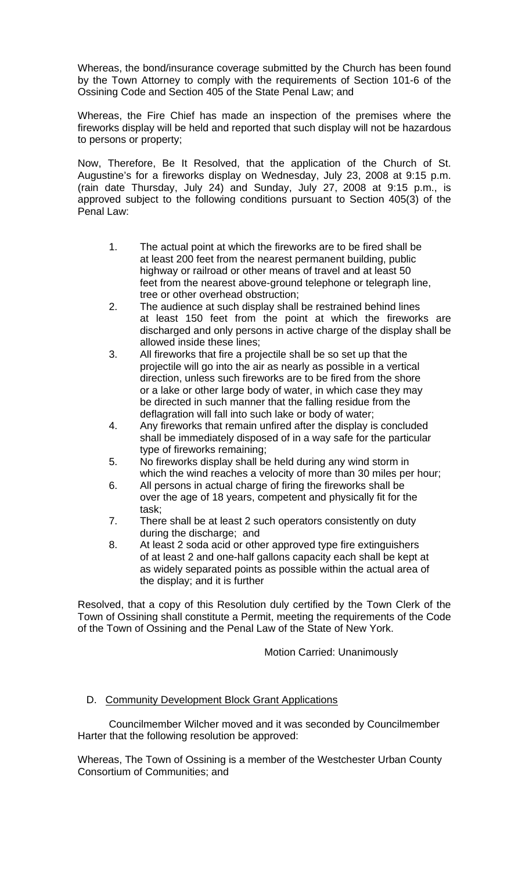Whereas, the bond/insurance coverage submitted by the Church has been found by the Town Attorney to comply with the requirements of Section 101-6 of the Ossining Code and Section 405 of the State Penal Law; and

Whereas, the Fire Chief has made an inspection of the premises where the fireworks display will be held and reported that such display will not be hazardous to persons or property;

Now, Therefore, Be It Resolved, that the application of the Church of St. Augustine's for a fireworks display on Wednesday, July 23, 2008 at 9:15 p.m. (rain date Thursday, July 24) and Sunday, July 27, 2008 at 9:15 p.m., is approved subject to the following conditions pursuant to Section 405(3) of the Penal Law:

- 1. The actual point at which the fireworks are to be fired shall be at least 200 feet from the nearest permanent building, public highway or railroad or other means of travel and at least 50 feet from the nearest above-ground telephone or telegraph line, tree or other overhead obstruction;
- 2. The audience at such display shall be restrained behind lines at least 150 feet from the point at which the fireworks are discharged and only persons in active charge of the display shall be allowed inside these lines;
- 3. All fireworks that fire a projectile shall be so set up that the projectile will go into the air as nearly as possible in a vertical direction, unless such fireworks are to be fired from the shore or a lake or other large body of water, in which case they may be directed in such manner that the falling residue from the deflagration will fall into such lake or body of water;
- 4. Any fireworks that remain unfired after the display is concluded shall be immediately disposed of in a way safe for the particular type of fireworks remaining;
- 5. No fireworks display shall be held during any wind storm in which the wind reaches a velocity of more than 30 miles per hour;
- 6. All persons in actual charge of firing the fireworks shall be over the age of 18 years, competent and physically fit for the task;
- 7. There shall be at least 2 such operators consistently on duty during the discharge; and
- 8. At least 2 soda acid or other approved type fire extinguishers of at least 2 and one-half gallons capacity each shall be kept at as widely separated points as possible within the actual area of the display; and it is further

Resolved, that a copy of this Resolution duly certified by the Town Clerk of the Town of Ossining shall constitute a Permit, meeting the requirements of the Code of the Town of Ossining and the Penal Law of the State of New York.

Motion Carried: Unanimously

# D. Community Development Block Grant Applications

 Councilmember Wilcher moved and it was seconded by Councilmember Harter that the following resolution be approved:

Whereas, The Town of Ossining is a member of the Westchester Urban County Consortium of Communities; and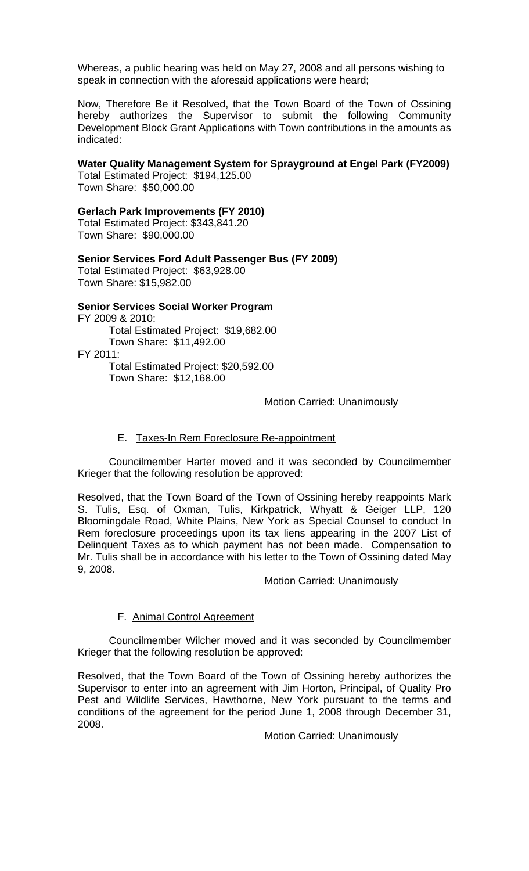Whereas, a public hearing was held on May 27, 2008 and all persons wishing to speak in connection with the aforesaid applications were heard;

Now, Therefore Be it Resolved, that the Town Board of the Town of Ossining hereby authorizes the Supervisor to submit the following Community Development Block Grant Applications with Town contributions in the amounts as indicated:

### **Water Quality Management System for Sprayground at Engel Park (FY2009)**

Total Estimated Project: \$194,125.00 Town Share: \$50,000.00

#### **Gerlach Park Improvements (FY 2010)**

Total Estimated Project: \$343,841.20 Town Share: \$90,000.00

#### **Senior Services Ford Adult Passenger Bus (FY 2009)**

Total Estimated Project: \$63,928.00 Town Share: \$15,982.00

# **Senior Services Social Worker Program**

FY 2009 & 2010: Total Estimated Project: \$19,682.00 Town Share: \$11,492.00 FY 2011: Total Estimated Project: \$20,592.00 Town Share: \$12,168.00

## Motion Carried: Unanimously

### E. Taxes-In Rem Foreclosure Re-appointment

 Councilmember Harter moved and it was seconded by Councilmember Krieger that the following resolution be approved:

Resolved, that the Town Board of the Town of Ossining hereby reappoints Mark S. Tulis, Esq. of Oxman, Tulis, Kirkpatrick, Whyatt & Geiger LLP, 120 Bloomingdale Road, White Plains, New York as Special Counsel to conduct In Rem foreclosure proceedings upon its tax liens appearing in the 2007 List of Delinquent Taxes as to which payment has not been made. Compensation to Mr. Tulis shall be in accordance with his letter to the Town of Ossining dated May 9, 2008.

#### Motion Carried: Unanimously

#### F. Animal Control Agreement

 Councilmember Wilcher moved and it was seconded by Councilmember Krieger that the following resolution be approved:

Resolved, that the Town Board of the Town of Ossining hereby authorizes the Supervisor to enter into an agreement with Jim Horton, Principal, of Quality Pro Pest and Wildlife Services, Hawthorne, New York pursuant to the terms and conditions of the agreement for the period June 1, 2008 through December 31, 2008.

Motion Carried: Unanimously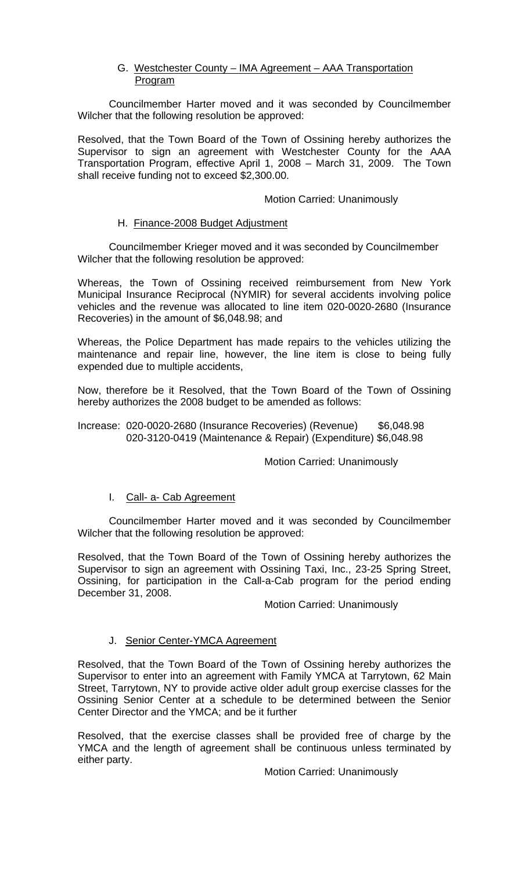# G. Westchester County – IMA Agreement – AAA Transportation Program

 Councilmember Harter moved and it was seconded by Councilmember Wilcher that the following resolution be approved:

Resolved, that the Town Board of the Town of Ossining hereby authorizes the Supervisor to sign an agreement with Westchester County for the AAA Transportation Program, effective April 1, 2008 – March 31, 2009. The Town shall receive funding not to exceed \$2,300.00.

## Motion Carried: Unanimously

## H. Finance-2008 Budget Adjustment

 Councilmember Krieger moved and it was seconded by Councilmember Wilcher that the following resolution be approved:

Whereas, the Town of Ossining received reimbursement from New York Municipal Insurance Reciprocal (NYMIR) for several accidents involving police vehicles and the revenue was allocated to line item 020-0020-2680 (Insurance Recoveries) in the amount of \$6,048.98; and

Whereas, the Police Department has made repairs to the vehicles utilizing the maintenance and repair line, however, the line item is close to being fully expended due to multiple accidents,

Now, therefore be it Resolved, that the Town Board of the Town of Ossining hereby authorizes the 2008 budget to be amended as follows:

#### Increase: 020-0020-2680 (Insurance Recoveries) (Revenue) \$6,048.98 020-3120-0419 (Maintenance & Repair) (Expenditure) \$6,048.98

#### Motion Carried: Unanimously

# I. Call- a- Cab Agreement

 Councilmember Harter moved and it was seconded by Councilmember Wilcher that the following resolution be approved:

Resolved, that the Town Board of the Town of Ossining hereby authorizes the Supervisor to sign an agreement with Ossining Taxi, Inc., 23-25 Spring Street, Ossining, for participation in the Call-a-Cab program for the period ending December 31, 2008.

#### Motion Carried: Unanimously

#### J. Senior Center-YMCA Agreement

Resolved, that the Town Board of the Town of Ossining hereby authorizes the Supervisor to enter into an agreement with Family YMCA at Tarrytown, 62 Main Street, Tarrytown, NY to provide active older adult group exercise classes for the Ossining Senior Center at a schedule to be determined between the Senior Center Director and the YMCA; and be it further

Resolved, that the exercise classes shall be provided free of charge by the YMCA and the length of agreement shall be continuous unless terminated by either party.

Motion Carried: Unanimously